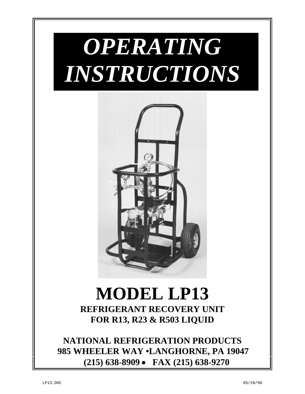

# **MODEL LP13 REFRIGERANT RECOVERY UNIT FOR R13, R23 & R503 LIQUID**

**NATIONAL REFRIGERATION PRODUCTS 985 WHEELER WAY •LANGHORNE, PA 19047 (215) 638-8909** • **FAX (215) 638-9270**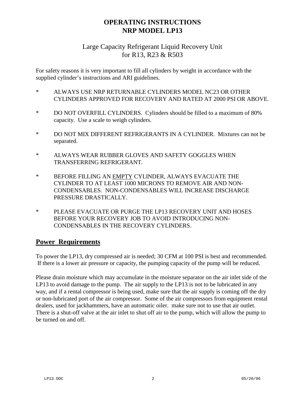## **OPERATING INSTRUCTIONS NRP MODEL LP13**

### Large Capacity Refrigerant Liquid Recovery Unit for R13, R23 & R503

For safety reasons it is very important to fill all cylinders by weight in accordance with the supplied cylinder's instructions and ARI guidelines.

- \* ALWAYS USE NRP RETURNABLE CYLINDERS MODEL NC23 OR OTHER CYLINDERS APPROVED FOR RECOVERY AND RATED AT 2000 PSI OR ABOVE.
- \* DO NOT OVERFILL CYLINDERS. Cylinders should be filled to a maximum of 80% capacity. Use a scale to weigh cylinders.
- \* DO NOT MIX DIFFERENT REFRIGERANTS IN A CYLINDER. Mixtures can not be separated.
- \* ALWAYS WEAR RUBBER GLOVES AND SAFETY GOGGLES WHEN TRANSFERRING REFRIGERANT.
- \* BEFORE FILLING AN EMPTY CYLINDER, ALWAYS EVACUATE THE CYLINDER TO AT LEAST 1000 MICRONS TO REMOVE AIR AND NON-CONDENSABLES. NON-CONDENSABLES WILL INCREASE DISCHARGE PRESSURE DRASTICALLY.
- \* PLEASE EVACUATE OR PURGE THE LP13 RECOVERY UNIT AND HOSES BEFORE YOUR RECOVERY JOB TO AVOID INTRODUCING NON-CONDENSABLES IN THE RECOVERY CYLINDERS.

### **Power Requirements**

To power the LP13, dry compressed air is needed; 30 CFM at 100 PSI is best and recommended. If there is a lower air pressure or capacity, the pumping capacity of the pump will be reduced.

Please drain moisture which may accumulate in the moisture separator on the air inlet side of the LP13 to avoid damage to the pump. The air supply to the LP13 is not to be lubricated in any way, and if a rental compressor is being used, make sure that the air supply is coming off the dry or non-lubricated port of the air compressor. Some of the air compressors from equipment rental dealers, used for jackhammers, have an automatic oiler. make sure not to use that air outlet. There is a shut-off valve at the air inlet to shut off air to the pump, which will allow the pump to be turned on and off.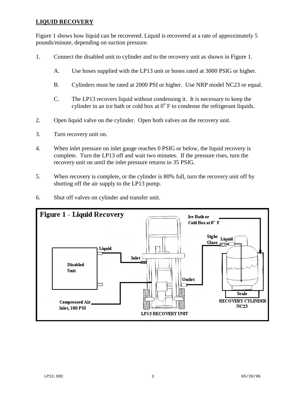#### **LIQUID RECOVERY**

Figure 1 shows how liquid can be recovered. Liquid is recovered at a rate of approximately 5 pounds/minute, depending on suction pressure.

- 1. Connect the disabled unit to cylinder and to the recovery unit as shown in Figure 1.
	- A. Use hoses supplied with the LP13 unit or hoses rated at 3000 PSIG or higher.
	- B. Cylinders must be rated at 2000 PSI or higher. Use NRP model NC23 or equal.
	- C. The LP13 recovers liquid without condensing it. It is necessary to keep the cylinder in an ice bath or cold box at  $0^{\circ}$  F to condense the refrigerant liquids.
- 2. Open liquid valve on the cylinder. Open both valves on the recovery unit.
- 3. Turn recovery unit on.
- 4. When inlet pressure on inlet gauge reaches 0 PSIG or below, the liquid recovery is complete. Turn the LP13 off and wait two minutes. If the pressure rises, turn the recovery unit on until the inlet pressure returns to 35 PSIG.
- 5. When recovery is complete, or the cylinder is 80% full, turn the recovery unit off by shutting off the air supply to the LP13 pump.
- 6. Shut off valves on cylinder and transfer unit.